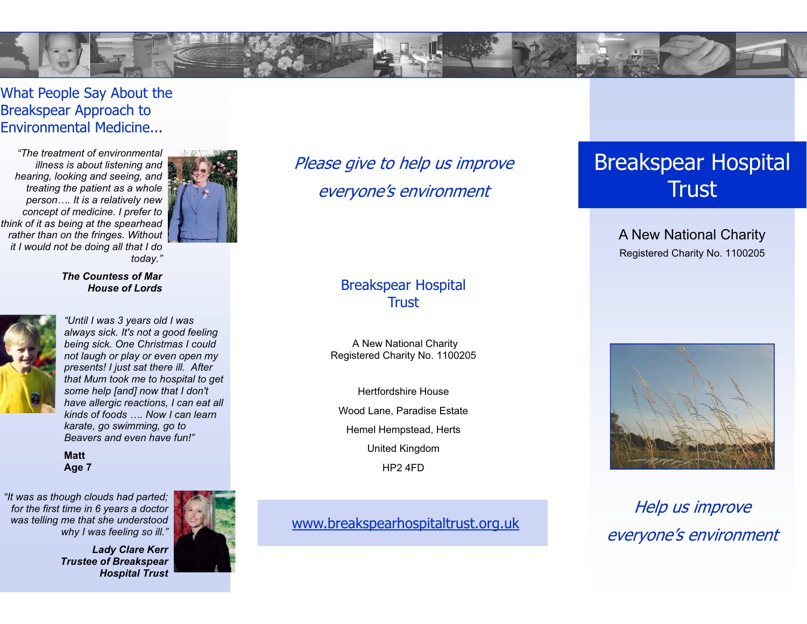

### What People Say About the Breakspear Approach to Environmental Medicine...

*"The treatment of environmental illness is about listening and hearing, looking and seeing, and treating the patient as a whole person…. It is a relatively new concept of medicine. I prefer to think of it as being at the spearhead rather than on the fringes. Without it I would not be doing all that I do today."* 



#### *The Countess of Mar House of Lords*



*"Until I was 3 years old I was always sick. It's not a good feeling being sick. One Christmas I could not laugh or play or even open my presents! I just sat there ill. After that Mum took me to hospital to get some help [and] now that I don't have allergic reactions, I can eat all kinds of foods …. Now I can learn karate, go swimming, go to Beavers and even have fun!"* 

**Matt Age 7**

*"It was as though clouds had parted; for the first time in 6 years a doctor was telling me that she understood why I was feeling so ill."* 



*Lady Clare Kerr Trustee of Breakspear Hospital Trust*  Please give to help us improve everyone's environment

#### Breakspear Hospital **Trust**

A New National Charity Registered Charity No. 1100205

Hertfordshire House Wood Lane, Paradise Estate Hemel Hempstead, Herts United Kingdom HP2 4FD

#### www.breakspearhospitaltrust.org.uk

# Breakspear Hospital **Trust**

A New National Charity Registered Charity No. 1100205



Help us improve everyone's environment